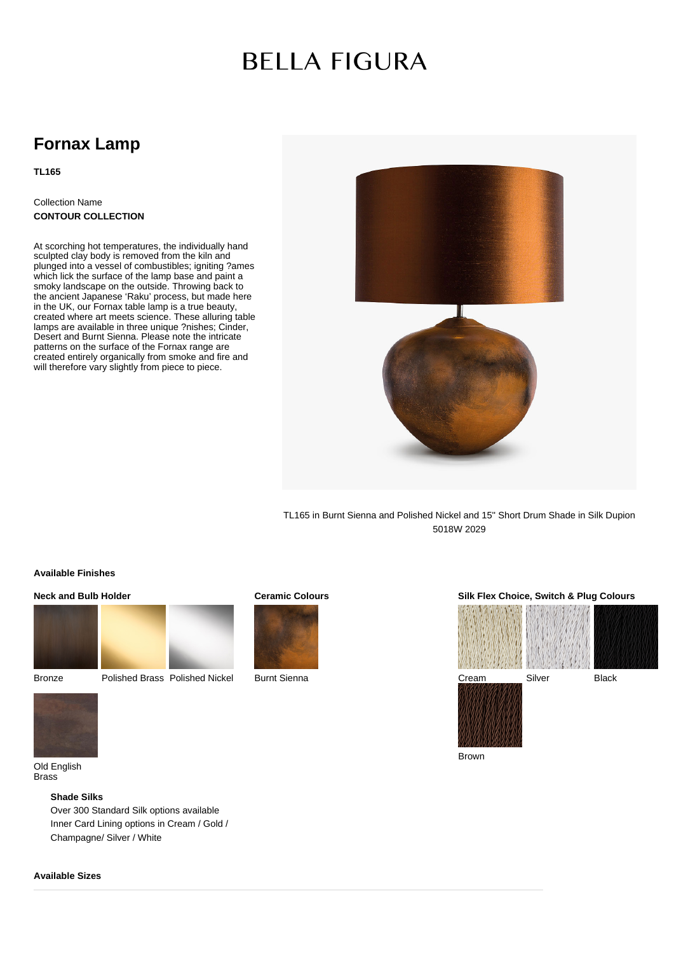# **BELLA FIGURA**

# **Fornax Lamp**

# **TL165**

# Collection Name **CONTOUR COLLECTION**

At scorching hot temperatures, the individually hand sculpted clay body is removed from the kiln and plunged into a vessel of combustibles; igniting ?ames which lick the surface of the lamp base and paint a smoky landscape on the outside. Throwing back to the ancient Japanese 'Raku' process, but made here in the UK, our Fornax table lamp is a true beauty, created where art meets science. These alluring table lamps are available in three unique ?nishes; Cinder, Desert and Burnt Sienna. Please note the intricate patterns on the surface of the Fornax range are created entirely organically from smoke and fire and will therefore vary slightly from piece to piece.



TL165 in Burnt Sienna and Polished Nickel and 15'' Short Drum Shade in Silk Dupion 5018W 2029

### **Available Finishes**

# **Neck and Bulb Holder**



Bronze Polished Brass Polished Nickel

# **Ceramic Colours**



Burnt Sienna

## **Silk Flex Choice, Switch & Plug Colours**



Brown



Old English Brass

#### **Shade Silks**

Over 300 Standard Silk options available Inner Card Lining options in Cream / Gold / Champagne/ Silver / White

### **Available Sizes**